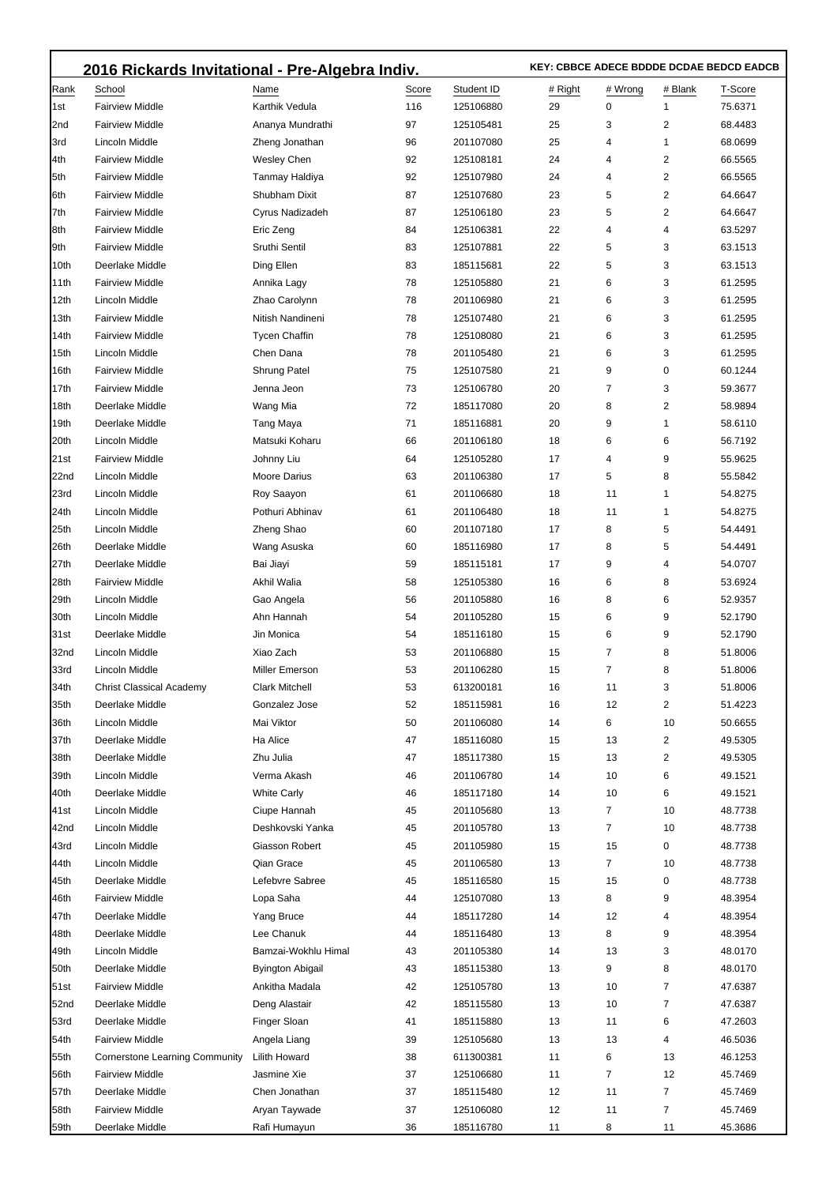|             | 2016 Rickards Invitational - Pre-Algebra Indiv. |                         |       |            |         | KEY: CBBCE ADECE BDDDE DCDAE BEDCD EADCB |         |         |  |  |
|-------------|-------------------------------------------------|-------------------------|-------|------------|---------|------------------------------------------|---------|---------|--|--|
| Rank        | School                                          | Name                    | Score | Student ID | # Right | # Wrong                                  | # Blank | T-Score |  |  |
| l1st        | <b>Fairview Middle</b>                          | Karthik Vedula          | 116   | 125106880  | 29      | 0                                        | 1       | 75.6371 |  |  |
| 2nd         | <b>Fairview Middle</b>                          | Ananya Mundrathi        | 97    | 125105481  | 25      | 3                                        | 2       | 68.4483 |  |  |
| 3rd         | Lincoln Middle                                  | Zheng Jonathan          | 96    | 201107080  | 25      | 4                                        | 1       | 68.0699 |  |  |
| 4th         | <b>Fairview Middle</b>                          | Wesley Chen             | 92    | 125108181  | 24      | 4                                        | 2       | 66.5565 |  |  |
| 5th         | <b>Fairview Middle</b>                          | Tanmay Haldiya          | 92    | 125107980  | 24      | 4                                        | 2       | 66.5565 |  |  |
| 6th         | <b>Fairview Middle</b>                          | Shubham Dixit           | 87    | 125107680  | 23      | 5                                        | 2       | 64.6647 |  |  |
| 7th         | <b>Fairview Middle</b>                          | Cyrus Nadizadeh         | 87    | 125106180  | 23      | 5                                        | 2       | 64.6647 |  |  |
| 8th         | <b>Fairview Middle</b>                          | Eric Zeng               | 84    | 125106381  | 22      | 4                                        | 4       | 63.5297 |  |  |
| 9th         | <b>Fairview Middle</b>                          | Sruthi Sentil           | 83    | 125107881  | 22      | 5                                        | 3       | 63.1513 |  |  |
| 10th        | Deerlake Middle                                 | Ding Ellen              | 83    | 185115681  | 22      | 5                                        | 3       | 63.1513 |  |  |
| 11th        | <b>Fairview Middle</b>                          | Annika Lagy             | 78    | 125105880  | 21      | 6                                        | 3       | 61.2595 |  |  |
| 12th        | Lincoln Middle                                  | Zhao Carolynn           | 78    | 201106980  | 21      | 6                                        | 3       | 61.2595 |  |  |
| 13th        | <b>Fairview Middle</b>                          | Nitish Nandineni        | 78    | 125107480  | 21      | 6                                        | 3       | 61.2595 |  |  |
| 14th        | <b>Fairview Middle</b>                          | <b>Tycen Chaffin</b>    | 78    | 125108080  | 21      | 6                                        | 3       | 61.2595 |  |  |
| 15th        | Lincoln Middle                                  | Chen Dana               | 78    | 201105480  | 21      | 6                                        | 3       | 61.2595 |  |  |
| 16th        | <b>Fairview Middle</b>                          | Shrung Patel            | 75    | 125107580  | 21      | 9                                        | 0       | 60.1244 |  |  |
| 17th        | <b>Fairview Middle</b>                          | Jenna Jeon              | 73    | 125106780  | 20      | 7                                        | 3       | 59.3677 |  |  |
| 18th        | Deerlake Middle                                 | Wang Mia                | 72    | 185117080  | 20      | 8                                        | 2       | 58.9894 |  |  |
| 19th        | Deerlake Middle                                 | Tang Maya               | 71    | 185116881  | 20      | 9                                        | 1       | 58.6110 |  |  |
| 20th        | Lincoln Middle                                  | Matsuki Koharu          | 66    | 201106180  | 18      | 6                                        | 6       | 56.7192 |  |  |
| 21st        | <b>Fairview Middle</b>                          | Johnny Liu              | 64    | 125105280  | 17      | 4                                        | 9       | 55.9625 |  |  |
| 22nd        | Lincoln Middle                                  | Moore Darius            | 63    | 201106380  | 17      | 5                                        | 8       | 55.5842 |  |  |
| 23rd        | Lincoln Middle                                  | Roy Saayon              | 61    | 201106680  | 18      | 11                                       | 1       | 54.8275 |  |  |
| 24th        | Lincoln Middle                                  | Pothuri Abhinav         | 61    | 201106480  | 18      | 11                                       | 1       | 54.8275 |  |  |
| 25th        | Lincoln Middle                                  | Zheng Shao              | 60    | 201107180  | 17      | 8                                        | 5       | 54.4491 |  |  |
| 26th        | Deerlake Middle                                 | Wang Asuska             | 60    | 185116980  | 17      | 8                                        | 5       | 54.4491 |  |  |
| 27th        | Deerlake Middle                                 | Bai Jiayi               | 59    | 185115181  | 17      | 9                                        | 4       | 54.0707 |  |  |
| 28th        | <b>Fairview Middle</b>                          | Akhil Walia             | 58    | 125105380  | 16      | 6                                        | 8       | 53.6924 |  |  |
| 29th        | Lincoln Middle                                  | Gao Angela              | 56    | 201105880  | 16      | 8                                        | 6       | 52.9357 |  |  |
| 30th        | Lincoln Middle                                  | Ahn Hannah              | 54    | 201105280  | 15      | 6                                        | 9       | 52.1790 |  |  |
| 31st        | Deerlake Middle                                 | Jin Monica              | 54    | 185116180  | 15      | 6                                        | 9       | 52.1790 |  |  |
| 32nd        | Lincoln Middle                                  | Xiao Zach               | 53    | 201106880  | 15      | 7                                        | 8       | 51.8006 |  |  |
| 33rd        | Lincoln Middle                                  | Miller Emerson          | 53    | 201106280  | 15      | 7                                        | 8       | 51.8006 |  |  |
| 34th        | <b>Christ Classical Academy</b>                 | <b>Clark Mitchell</b>   | 53    | 613200181  | 16      | 11                                       | 3       | 51.8006 |  |  |
| 35th        | Deerlake Middle                                 | Gonzalez Jose           | 52    | 185115981  | 16      | 12                                       | 2       | 51.4223 |  |  |
| 36th        | Lincoln Middle                                  | Mai Viktor              | 50    | 201106080  | 14      | 6                                        | 10      | 50.6655 |  |  |
| 37th        | Deerlake Middle                                 | Ha Alice                | 47    | 185116080  | 15      | 13                                       | 2       | 49.5305 |  |  |
| 38th        | Deerlake Middle                                 | Zhu Julia               | 47    | 185117380  | 15      | 13                                       | 2       | 49.5305 |  |  |
| 39th        | Lincoln Middle                                  | Verma Akash             | 46    | 201106780  | 14      | 10                                       | 6       | 49.1521 |  |  |
| 40th        | Deerlake Middle                                 | <b>White Carly</b>      | 46    | 185117180  | 14      | 10                                       | 6       | 49.1521 |  |  |
| 41st        | Lincoln Middle                                  | Ciupe Hannah            | 45    | 201105680  | 13      | 7                                        | 10      | 48.7738 |  |  |
| 42nd        | Lincoln Middle                                  | Deshkovski Yanka        | 45    | 201105780  | 13      | 7                                        | 10      | 48.7738 |  |  |
| 43rd        | <b>Lincoln Middle</b>                           | Giasson Robert          | 45    | 201105980  | 15      | 15                                       | 0       | 48.7738 |  |  |
| 44th        | Lincoln Middle                                  | Qian Grace              | 45    | 201106580  | 13      | 7                                        | 10      | 48.7738 |  |  |
| 45th        | Deerlake Middle                                 | Lefebvre Sabree         | 45    | 185116580  | 15      | 15                                       | 0       | 48.7738 |  |  |
| 46th        | <b>Fairview Middle</b>                          | Lopa Saha               | 44    | 125107080  | 13      | 8                                        | 9       | 48.3954 |  |  |
| 47th        | Deerlake Middle                                 | Yang Bruce              | 44    | 185117280  | 14      | 12                                       | 4       | 48.3954 |  |  |
| 48th        | Deerlake Middle                                 | Lee Chanuk              | 44    | 185116480  | 13      | 8                                        | 9       | 48.3954 |  |  |
| 49th        | Lincoln Middle                                  | Bamzai-Wokhlu Himal     | 43    | 201105380  | 14      | 13                                       | 3       | 48.0170 |  |  |
| 50th        | Deerlake Middle                                 | <b>Byington Abigail</b> | 43    | 185115380  | 13      | 9                                        | 8       | 48.0170 |  |  |
| 51st        | <b>Fairview Middle</b>                          | Ankitha Madala          | 42    | 125105780  | 13      | 10                                       | 7       | 47.6387 |  |  |
| 52nd        | Deerlake Middle                                 | Deng Alastair           | 42    | 185115580  | 13      | 10                                       | 7       | 47.6387 |  |  |
| 53rd        | Deerlake Middle                                 | Finger Sloan            | 41    | 185115880  | 13      | 11                                       | 6       | 47.2603 |  |  |
| 54th        | <b>Fairview Middle</b>                          | Angela Liang            | 39    | 125105680  | 13      | 13                                       | 4       | 46.5036 |  |  |
| 55th        | <b>Cornerstone Learning Community</b>           | <b>Lilith Howard</b>    | 38    | 611300381  | 11      | 6                                        | 13      | 46.1253 |  |  |
| 56th        | <b>Fairview Middle</b>                          | Jasmine Xie             | 37    | 125106680  | 11      | 7                                        | 12      | 45.7469 |  |  |
| 57th        | Deerlake Middle                                 | Chen Jonathan           | 37    | 185115480  | 12      | 11                                       | 7       | 45.7469 |  |  |
| 58th        | <b>Fairview Middle</b>                          | Aryan Taywade           | 37    | 125106080  | 12      | 11                                       | 7       | 45.7469 |  |  |
| <b>59th</b> | Deerlake Middle                                 | Rafi Humayun            | 36    | 185116780  | 11      | 8                                        | 11      | 45.3686 |  |  |